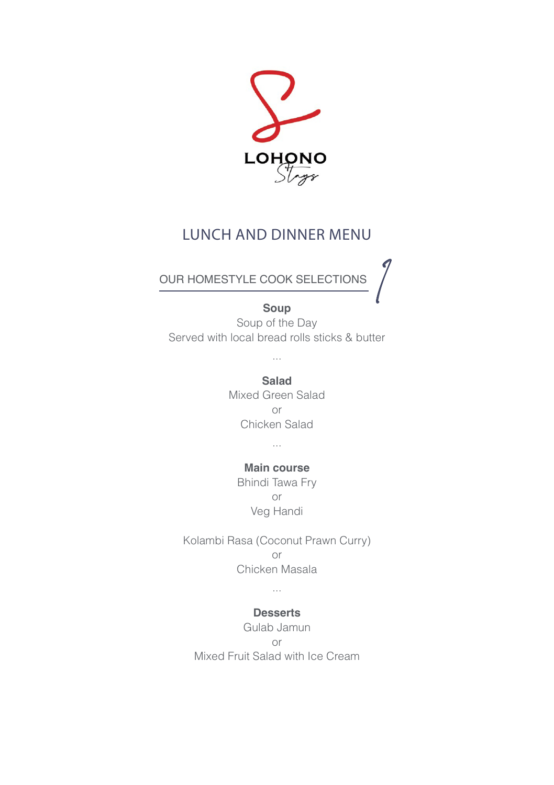

# LUNCH AND DINNER MENU

## OUR HOMESTYLE COOK SELECTIONS

#### **Soup**

1 Soup of the Day Served with local bread rolls sticks & butter

...

**Salad** Mixed Green Salad or Chicken Salad

...

# **Main course**

Bhindi Tawa Fry or Veg Handi

Kolambi Rasa (Coconut Prawn Curry) or Chicken Masala

...

#### **Desserts**

Gulab Jamun or Mixed Fruit Salad with Ice Cream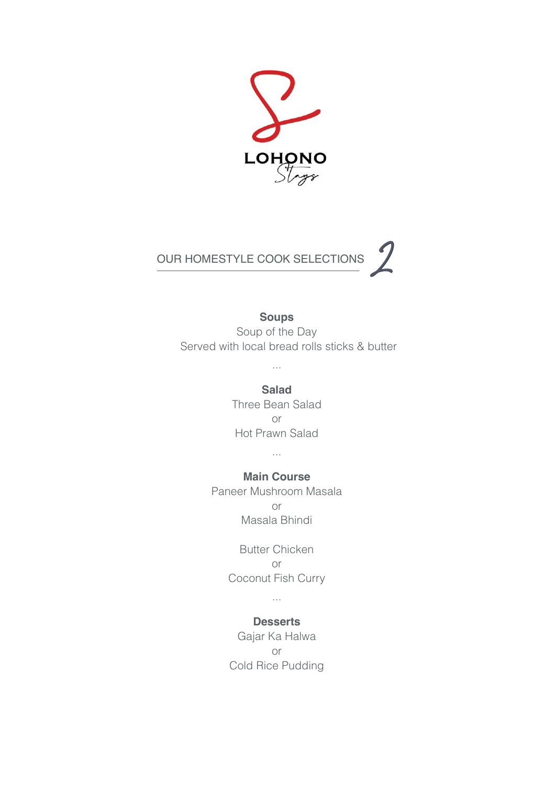



#### **Soups**

Soup of the Day Served with local bread rolls sticks & butter

> **Salad** Three Bean Salad or Hot Prawn Salad

...

...

#### **Main Course**

Paneer Mushroom Masala or Masala Bhindi

> Butter Chicken or Coconut Fish Curry

> > ...

#### **Desserts**

Gajar Ka Halwa or Cold Rice Pudding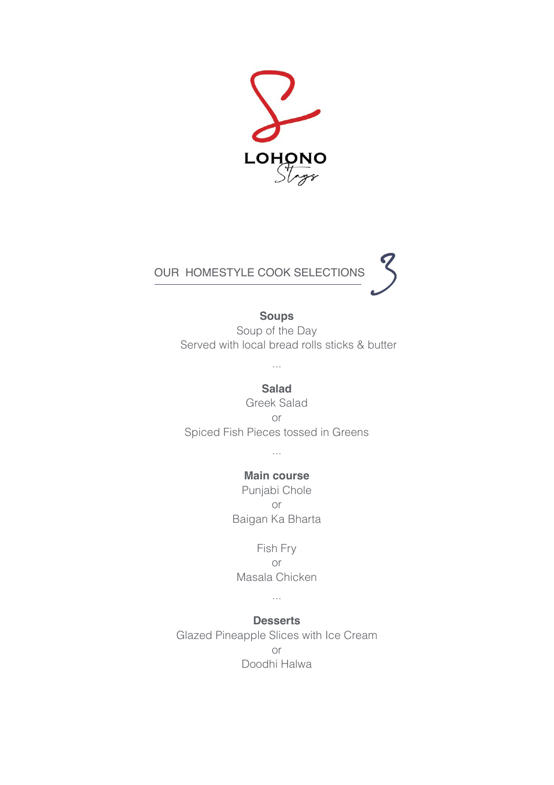



### **Soups**

Soup of the Day Served with local bread rolls sticks & butter

**Salad** Greek Salad or Spiced Fish Pieces tossed in Greens

...

#### **Main course**

Punjabi Chole or Baigan Ka Bharta

Fish Fry or Masala Chicken

...

**Desserts** Glazed Pineapple Slices with Ice Cream or

Doodhi Halwa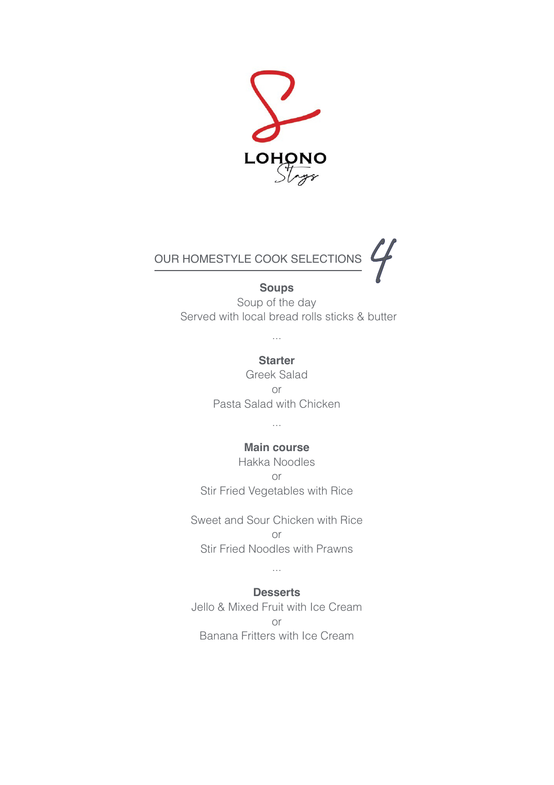



Soup of the day **Soups** Served with local bread rolls sticks & butter

...

#### **Starter**

Greek Salad or Pasta Salad with Chicken

## ... **Main course**

Hakka Noodles or Stir Fried Vegetables with Rice

Sweet and Sour Chicken with Rice or Stir Fried Noodles with Prawns

## ... **Desserts**

Jello & Mixed Fruit with Ice Cream or Banana Fritters with Ice Cream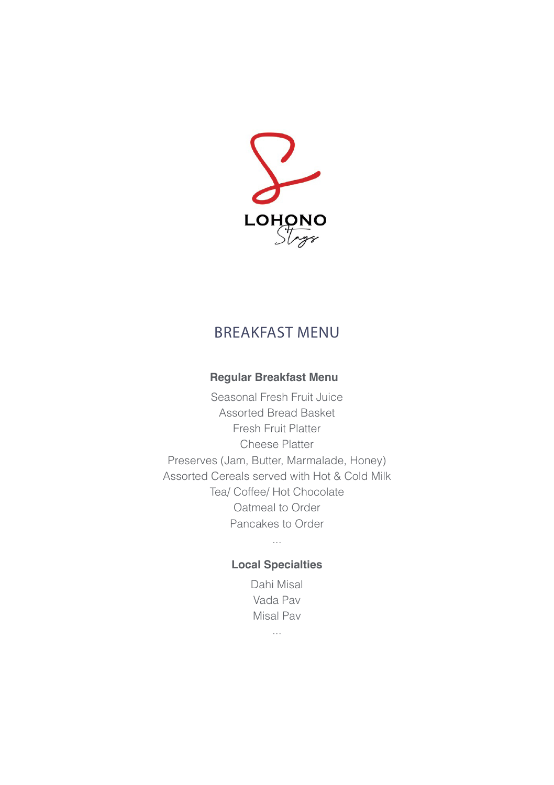

# BREAKFAST MENU

### **Regular Breakfast Menu**

Seasonal Fresh Fruit Juice Assorted Bread Basket Fresh Fruit Platter Cheese Platter Preserves (Jam, Butter, Marmalade, Honey) Assorted Cereals served with Hot & Cold Milk Tea/ Coffee/ Hot Chocolate Oatmeal to Order Pancakes to Order

## ... **Local Specialties**

Dahi Misal Vada Pav Misal Pav

...